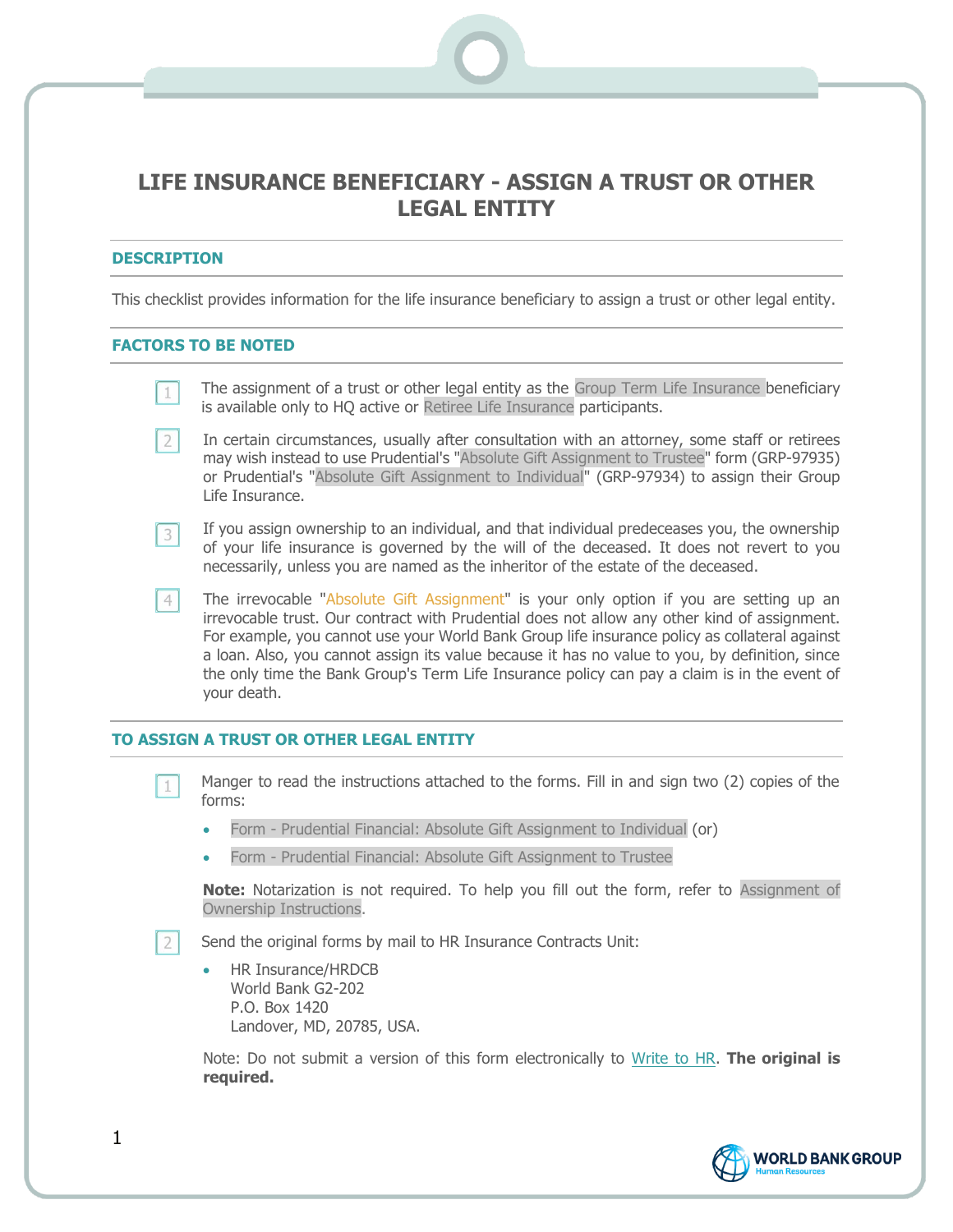## **LIFE INSURANCE BENEFICIARY - ASSIGN A TRUST OR OTHER LEGAL ENTITY**

## **DESCRIPTION**

This checklist provides information for the life insurance beneficiary to assign a trust or other legal entity.

## **FACTORS TO BE NOTED**

| The assignment of a trust or other legal entity as the Group Term Life Insurance beneficiary |  |  |
|----------------------------------------------------------------------------------------------|--|--|
| is available only to HQ active or Retiree Life Insurance participants.                       |  |  |

- In certain circumstances, usually after consultation with an attorney, some staff or retirees  $2|$ may wish instead to use Prudential's "Absolute Gift Assignment to Trustee" form (GRP-97935) or Prudential's "Absolute Gift Assignment to Individual" (GRP-97934) to assign their Group Life Insurance.
- If you assign ownership to an individual, and that individual predeceases you, the ownership  $3<sup>1</sup>$ of your life insurance is governed by the will of the deceased. It does not revert to you necessarily, unless you are named as the inheritor of the estate of the deceased.
- The irrevocable "Absolute Gift Assignment" is your only option if you are setting up an  $4<sup>1</sup>$ irrevocable trust. Our contract with Prudential does not allow any other kind of assignment. For example, you cannot use your World Bank Group life insurance policy as collateral against a loan. Also, you cannot assign its value because it has no value to you, by definition, since the only time the Bank Group's Term Life Insurance policy can pay a claim is in the event of your death.

## **TO ASSIGN A TRUST OR OTHER LEGAL ENTITY**

- Manger to read the instructions attached to the forms. Fill in and sign two (2) copies of the  $\perp$ forms:
	- Form Prudential Financial: Absolute Gift Assignment to Individual (or)
	- Form Prudential Financial: Absolute Gift Assignment to Trustee

**Note:** Notarization is not required. To help you fill out the form, refer to Assignment of Ownership Instructions.

 $2$ Send the original forms by mail to HR Insurance Contracts Unit:

• HR Insurance/HRDCB World Bank G2-202 P.O. Box 1420 Landover, MD, 20785, USA.

Note: Do not submit a version of this form electronically to [Write to HR.](https://myhrss.worldbank.org/psp/HCMP/ROOMBA/HCMP/c/WSS_MENU_W.WSS_ESS_ASK_HR_W.GBL?Page=WSS_ESS_ASK2_HR_W&tab=WSS_EMPLOYEE_SPACE_W) **The original is required.**



1